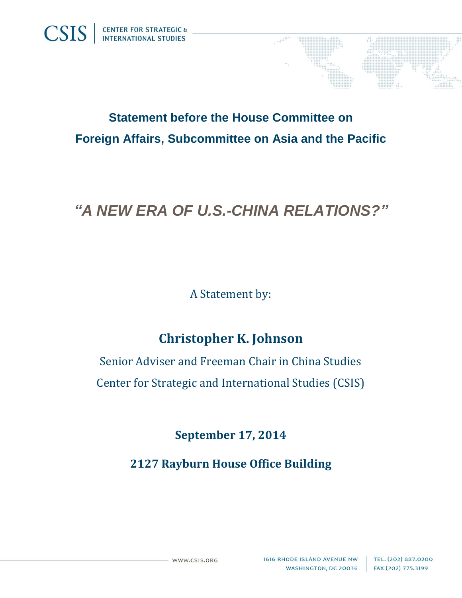

## **Statement before the House Committee on Foreign Affairs, Subcommittee on Asia and the Pacific**

# *"A NEW ERA OF U.S.-CHINA RELATIONS?"*

A Statement by:

### **Christopher K. Johnson**

Senior Adviser and Freeman Chair in China Studies Center for Strategic and International Studies (CSIS)

**September 17, 2014**

**2127 Rayburn House Office Building**

WWW.CSIS.ORG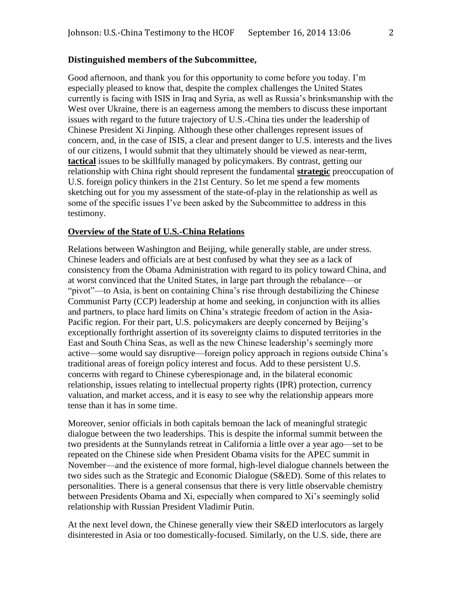#### **Distinguished members of the Subcommittee,**

Good afternoon, and thank you for this opportunity to come before you today. I'm especially pleased to know that, despite the complex challenges the United States currently is facing with ISIS in Iraq and Syria, as well as Russia's brinksmanship with the West over Ukraine, there is an eagerness among the members to discuss these important issues with regard to the future trajectory of U.S.-China ties under the leadership of Chinese President Xi Jinping. Although these other challenges represent issues of concern, and, in the case of ISIS, a clear and present danger to U.S. interests and the lives of our citizens, I would submit that they ultimately should be viewed as near-term, **tactical** issues to be skillfully managed by policymakers. By contrast, getting our relationship with China right should represent the fundamental **strategic** preoccupation of U.S. foreign policy thinkers in the 21st Century. So let me spend a few moments sketching out for you my assessment of the state-of-play in the relationship as well as some of the specific issues I've been asked by the Subcommittee to address in this testimony.

#### **Overview of the State of U.S.-China Relations**

Relations between Washington and Beijing, while generally stable, are under stress. Chinese leaders and officials are at best confused by what they see as a lack of consistency from the Obama Administration with regard to its policy toward China, and at worst convinced that the United States, in large part through the rebalance—or "pivot"—to Asia, is bent on containing China's rise through destabilizing the Chinese Communist Party (CCP) leadership at home and seeking, in conjunction with its allies and partners, to place hard limits on China's strategic freedom of action in the Asia-Pacific region. For their part, U.S. policymakers are deeply concerned by Beijing's exceptionally forthright assertion of its sovereignty claims to disputed territories in the East and South China Seas, as well as the new Chinese leadership's seemingly more active—some would say disruptive—foreign policy approach in regions outside China's traditional areas of foreign policy interest and focus. Add to these persistent U.S. concerns with regard to Chinese cyberespionage and, in the bilateral economic relationship, issues relating to intellectual property rights (IPR) protection, currency valuation, and market access, and it is easy to see why the relationship appears more tense than it has in some time.

Moreover, senior officials in both capitals bemoan the lack of meaningful strategic dialogue between the two leaderships. This is despite the informal summit between the two presidents at the Sunnylands retreat in California a little over a year ago—set to be repeated on the Chinese side when President Obama visits for the APEC summit in November—and the existence of more formal, high-level dialogue channels between the two sides such as the Strategic and Economic Dialogue (S&ED). Some of this relates to personalities. There is a general consensus that there is very little observable chemistry between Presidents Obama and Xi, especially when compared to Xi's seemingly solid relationship with Russian President Vladimir Putin.

At the next level down, the Chinese generally view their S&ED interlocutors as largely disinterested in Asia or too domestically-focused. Similarly, on the U.S. side, there are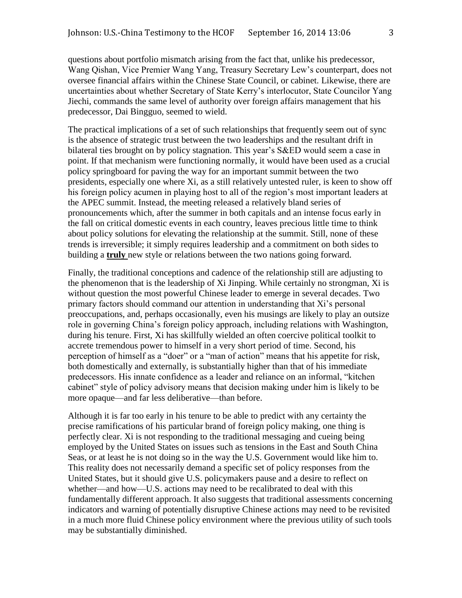questions about portfolio mismatch arising from the fact that, unlike his predecessor, Wang Qishan, Vice Premier Wang Yang, Treasury Secretary Lew's counterpart, does not oversee financial affairs within the Chinese State Council, or cabinet. Likewise, there are uncertainties about whether Secretary of State Kerry's interlocutor, State Councilor Yang Jiechi, commands the same level of authority over foreign affairs management that his predecessor, Dai Bingguo, seemed to wield.

The practical implications of a set of such relationships that frequently seem out of sync is the absence of strategic trust between the two leaderships and the resultant drift in bilateral ties brought on by policy stagnation. This year's S&ED would seem a case in point. If that mechanism were functioning normally, it would have been used as a crucial policy springboard for paving the way for an important summit between the two presidents, especially one where Xi, as a still relatively untested ruler, is keen to show off his foreign policy acumen in playing host to all of the region's most important leaders at the APEC summit. Instead, the meeting released a relatively bland series of pronouncements which, after the summer in both capitals and an intense focus early in the fall on critical domestic events in each country, leaves precious little time to think about policy solutions for elevating the relationship at the summit. Still, none of these trends is irreversible; it simply requires leadership and a commitment on both sides to building a **truly** new style or relations between the two nations going forward.

Finally, the traditional conceptions and cadence of the relationship still are adjusting to the phenomenon that is the leadership of Xi Jinping. While certainly no strongman, Xi is without question the most powerful Chinese leader to emerge in several decades. Two primary factors should command our attention in understanding that Xi's personal preoccupations, and, perhaps occasionally, even his musings are likely to play an outsize role in governing China's foreign policy approach, including relations with Washington, during his tenure. First, Xi has skillfully wielded an often coercive political toolkit to accrete tremendous power to himself in a very short period of time. Second, his perception of himself as a "doer" or a "man of action" means that his appetite for risk, both domestically and externally, is substantially higher than that of his immediate predecessors. His innate confidence as a leader and reliance on an informal, "kitchen cabinet" style of policy advisory means that decision making under him is likely to be more opaque—and far less deliberative—than before.

Although it is far too early in his tenure to be able to predict with any certainty the precise ramifications of his particular brand of foreign policy making, one thing is perfectly clear. Xi is not responding to the traditional messaging and cueing being employed by the United States on issues such as tensions in the East and South China Seas, or at least he is not doing so in the way the U.S. Government would like him to. This reality does not necessarily demand a specific set of policy responses from the United States, but it should give U.S. policymakers pause and a desire to reflect on whether—and how—U.S. actions may need to be recalibrated to deal with this fundamentally different approach. It also suggests that traditional assessments concerning indicators and warning of potentially disruptive Chinese actions may need to be revisited in a much more fluid Chinese policy environment where the previous utility of such tools may be substantially diminished.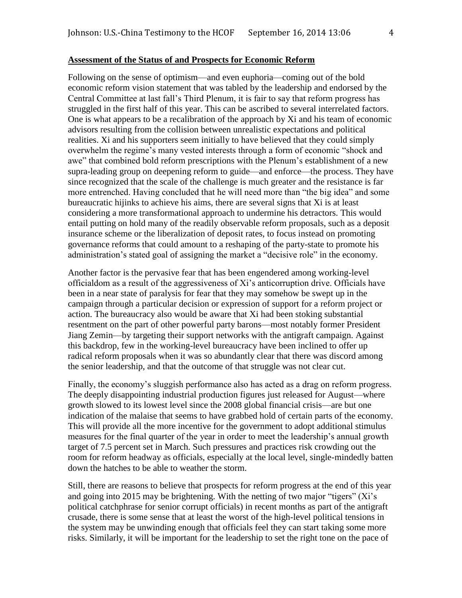#### **Assessment of the Status of and Prospects for Economic Reform**

Following on the sense of optimism—and even euphoria—coming out of the bold economic reform vision statement that was tabled by the leadership and endorsed by the Central Committee at last fall's Third Plenum, it is fair to say that reform progress has struggled in the first half of this year. This can be ascribed to several interrelated factors. One is what appears to be a recalibration of the approach by Xi and his team of economic advisors resulting from the collision between unrealistic expectations and political realities. Xi and his supporters seem initially to have believed that they could simply overwhelm the regime's many vested interests through a form of economic "shock and awe" that combined bold reform prescriptions with the Plenum's establishment of a new supra-leading group on deepening reform to guide—and enforce—the process. They have since recognized that the scale of the challenge is much greater and the resistance is far more entrenched. Having concluded that he will need more than "the big idea" and some bureaucratic hijinks to achieve his aims, there are several signs that Xi is at least considering a more transformational approach to undermine his detractors. This would entail putting on hold many of the readily observable reform proposals, such as a deposit insurance scheme or the liberalization of deposit rates, to focus instead on promoting governance reforms that could amount to a reshaping of the party-state to promote his administration's stated goal of assigning the market a "decisive role" in the economy.

Another factor is the pervasive fear that has been engendered among working-level officialdom as a result of the aggressiveness of Xi's anticorruption drive. Officials have been in a near state of paralysis for fear that they may somehow be swept up in the campaign through a particular decision or expression of support for a reform project or action. The bureaucracy also would be aware that Xi had been stoking substantial resentment on the part of other powerful party barons—most notably former President Jiang Zemin—by targeting their support networks with the antigraft campaign. Against this backdrop, few in the working-level bureaucracy have been inclined to offer up radical reform proposals when it was so abundantly clear that there was discord among the senior leadership, and that the outcome of that struggle was not clear cut.

Finally, the economy's sluggish performance also has acted as a drag on reform progress. The deeply disappointing industrial production figures just released for August—where growth slowed to its lowest level since the 2008 global financial crisis—are but one indication of the malaise that seems to have grabbed hold of certain parts of the economy. This will provide all the more incentive for the government to adopt additional stimulus measures for the final quarter of the year in order to meet the leadership's annual growth target of 7.5 percent set in March. Such pressures and practices risk crowding out the room for reform headway as officials, especially at the local level, single-mindedly batten down the hatches to be able to weather the storm.

Still, there are reasons to believe that prospects for reform progress at the end of this year and going into 2015 may be brightening. With the netting of two major "tigers" (Xi's political catchphrase for senior corrupt officials) in recent months as part of the antigraft crusade, there is some sense that at least the worst of the high-level political tensions in the system may be unwinding enough that officials feel they can start taking some more risks. Similarly, it will be important for the leadership to set the right tone on the pace of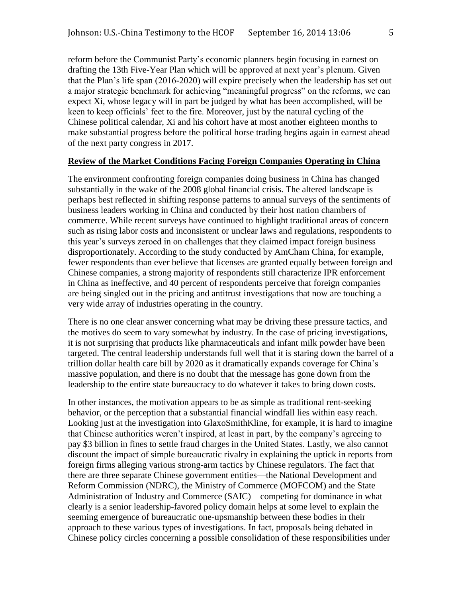reform before the Communist Party's economic planners begin focusing in earnest on drafting the 13th Five-Year Plan which will be approved at next year's plenum. Given that the Plan's life span (2016-2020) will expire precisely when the leadership has set out a major strategic benchmark for achieving "meaningful progress" on the reforms, we can expect Xi, whose legacy will in part be judged by what has been accomplished, will be keen to keep officials' feet to the fire. Moreover, just by the natural cycling of the Chinese political calendar, Xi and his cohort have at most another eighteen months to make substantial progress before the political horse trading begins again in earnest ahead of the next party congress in 2017.

#### **Review of the Market Conditions Facing Foreign Companies Operating in China**

The environment confronting foreign companies doing business in China has changed substantially in the wake of the 2008 global financial crisis. The altered landscape is perhaps best reflected in shifting response patterns to annual surveys of the sentiments of business leaders working in China and conducted by their host nation chambers of commerce. While recent surveys have continued to highlight traditional areas of concern such as rising labor costs and inconsistent or unclear laws and regulations, respondents to this year's surveys zeroed in on challenges that they claimed impact foreign business disproportionately. According to the study conducted by AmCham China, for example, fewer respondents than ever believe that licenses are granted equally between foreign and Chinese companies, a strong majority of respondents still characterize IPR enforcement in China as ineffective, and 40 percent of respondents perceive that foreign companies are being singled out in the pricing and antitrust investigations that now are touching a very wide array of industries operating in the country.

There is no one clear answer concerning what may be driving these pressure tactics, and the motives do seem to vary somewhat by industry. In the case of pricing investigations, it is not surprising that products like pharmaceuticals and infant milk powder have been targeted. The central leadership understands full well that it is staring down the barrel of a trillion dollar health care bill by 2020 as it dramatically expands coverage for China's massive population, and there is no doubt that the message has gone down from the leadership to the entire state bureaucracy to do whatever it takes to bring down costs.

In other instances, the motivation appears to be as simple as traditional rent-seeking behavior, or the perception that a substantial financial windfall lies within easy reach. Looking just at the investigation into GlaxoSmithKline, for example, it is hard to imagine that Chinese authorities weren't inspired, at least in part, by the company's agreeing to pay \$3 billion in fines to settle fraud charges in the United States. Lastly, we also cannot discount the impact of simple bureaucratic rivalry in explaining the uptick in reports from foreign firms alleging various strong-arm tactics by Chinese regulators. The fact that there are three separate Chinese government entities—the National Development and Reform Commission (NDRC), the Ministry of Commerce (MOFCOM) and the State Administration of Industry and Commerce (SAIC)—competing for dominance in what clearly is a senior leadership-favored policy domain helps at some level to explain the seeming emergence of bureaucratic one-upsmanship between these bodies in their approach to these various types of investigations. In fact, proposals being debated in Chinese policy circles concerning a possible consolidation of these responsibilities under